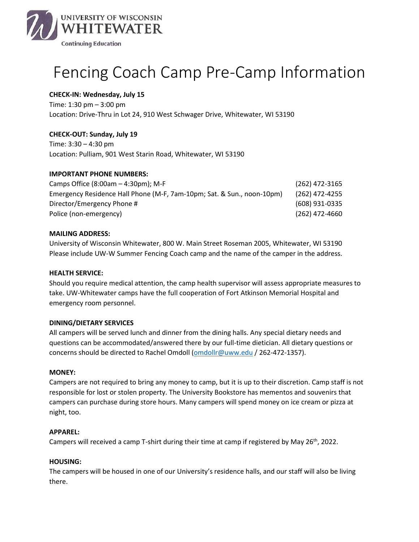

# Fencing Coach Camp Pre-Camp Information

# **CHECK-IN: Wednesday, July 15**

Time: 1:30 pm – 3:00 pm Location: Drive-Thru in Lot 24, 910 West Schwager Drive, Whitewater, WI 53190

# **CHECK-OUT: Sunday, July 19**

Time: 3:30 – 4:30 pm Location: Pulliam, 901 West Starin Road, Whitewater, WI 53190

# **IMPORTANT PHONE NUMBERS:**

| Camps Office $(8:00am - 4:30pm)$ ; M-F                                 | (262) 472-3165   |
|------------------------------------------------------------------------|------------------|
| Emergency Residence Hall Phone (M-F, 7am-10pm; Sat. & Sun., noon-10pm) | (262) 472-4255   |
| Director/Emergency Phone #                                             | (608) 931-0335   |
| Police (non-emergency)                                                 | $(262)$ 472-4660 |

## **MAILING ADDRESS:**

University of Wisconsin Whitewater, 800 W. Main Street Roseman 2005, Whitewater, WI 53190 Please include UW-W Summer Fencing Coach camp and the name of the camper in the address.

## **HEALTH SERVICE:**

Should you require medical attention, the camp health supervisor will assess appropriate measures to take. UW-Whitewater camps have the full cooperation of Fort Atkinson Memorial Hospital and emergency room personnel.

## **DINING/DIETARY SERVICES**

All campers will be served lunch and dinner from the dining halls. Any special dietary needs and questions can be accommodated/answered there by our full-time dietician. All dietary questions or concerns should be directed to Rachel Omdoll [\(omdollr@uww.edu](mailto:omdollr@uww.edu) / 262-472-1357).

## **MONEY:**

Campers are not required to bring any money to camp, but it is up to their discretion. Camp staff is not responsible for lost or stolen property. The University Bookstore has mementos and souvenirs that campers can purchase during store hours. Many campers will spend money on ice cream or pizza at night, too.

#### **APPAREL:**

Campers will received a camp T-shirt during their time at camp if registered by May 26<sup>th</sup>, 2022.

#### **HOUSING:**

The campers will be housed in one of our University's residence halls, and our staff will also be living there.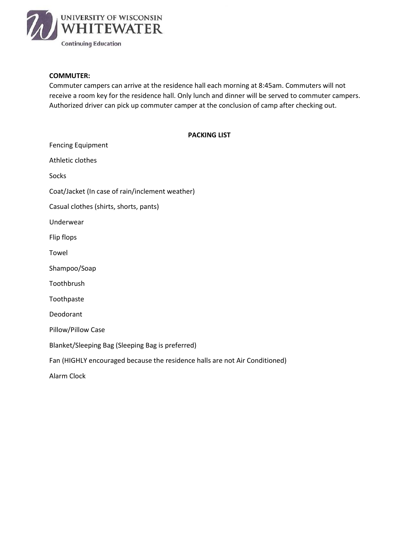

#### **COMMUTER:**

Commuter campers can arrive at the residence hall each morning at 8:45am. Commuters will not receive a room key for the residence hall. Only lunch and dinner will be served to commuter campers. Authorized driver can pick up commuter camper at the conclusion of camp after checking out.

| <b>Fencing Equipment</b>                                                    |
|-----------------------------------------------------------------------------|
| Athletic clothes                                                            |
| Socks                                                                       |
| Coat/Jacket (In case of rain/inclement weather)                             |
| Casual clothes (shirts, shorts, pants)                                      |
| Underwear                                                                   |
| Flip flops                                                                  |
| Towel                                                                       |
| Shampoo/Soap                                                                |
| Toothbrush                                                                  |
| Toothpaste                                                                  |
| Deodorant                                                                   |
| Pillow/Pillow Case                                                          |
| Blanket/Sleeping Bag (Sleeping Bag is preferred)                            |
| Fan (HIGHLY encouraged because the residence halls are not Air Conditioned) |
| Alarm Clock                                                                 |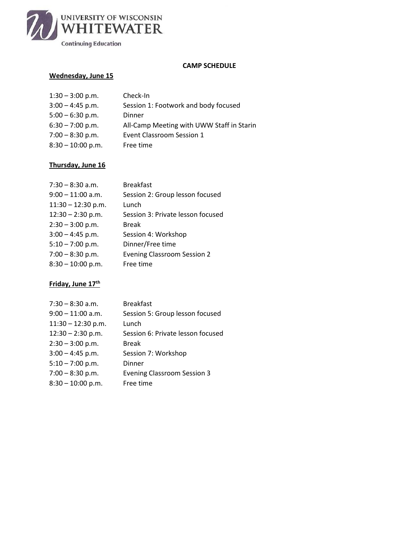

#### **CAMP SCHEDULE**

# **Wednesday, June 15**

| $1:30 - 3:00$ p.m.  | Check-In                                  |
|---------------------|-------------------------------------------|
| $3:00 - 4:45$ p.m.  | Session 1: Footwork and body focused      |
| $5:00 - 6:30$ p.m.  | Dinner                                    |
| $6:30 - 7:00$ p.m.  | All-Camp Meeting with UWW Staff in Starin |
| $7:00 - 8:30$ p.m.  | Event Classroom Session 1                 |
| $8:30 - 10:00$ p.m. | Free time                                 |
|                     |                                           |

# **Thursday, June 16**

| $7:30 - 8:30$ a.m.   | <b>Breakfast</b>                   |
|----------------------|------------------------------------|
| $9:00 - 11:00$ a.m.  | Session 2: Group lesson focused    |
| $11:30 - 12:30$ p.m. | Lunch                              |
| $12:30 - 2:30$ p.m.  | Session 3: Private lesson focused  |
| $2:30 - 3:00$ p.m.   | <b>Break</b>                       |
| $3:00 - 4:45$ p.m.   | Session 4: Workshop                |
| $5:10 - 7:00$ p.m.   | Dinner/Free time                   |
| $7:00 - 8:30$ p.m.   | <b>Evening Classroom Session 2</b> |
| $8:30 - 10:00$ p.m.  | Free time                          |
|                      |                                    |

# **Friday, June 17th**

| $7:30 - 8:30$ a.m.   | <b>Breakfast</b>                   |
|----------------------|------------------------------------|
| $9:00 - 11:00$ a.m.  | Session 5: Group lesson focused    |
| $11:30 - 12:30$ p.m. | Lunch                              |
| $12:30 - 2:30$ p.m.  | Session 6: Private lesson focused  |
| $2:30 - 3:00$ p.m.   | <b>Break</b>                       |
| $3:00 - 4:45$ p.m.   | Session 7: Workshop                |
| $5:10 - 7:00$ p.m.   | Dinner                             |
| $7:00 - 8:30$ p.m.   | <b>Evening Classroom Session 3</b> |
| $8:30 - 10:00$ p.m.  | Free time                          |
|                      |                                    |